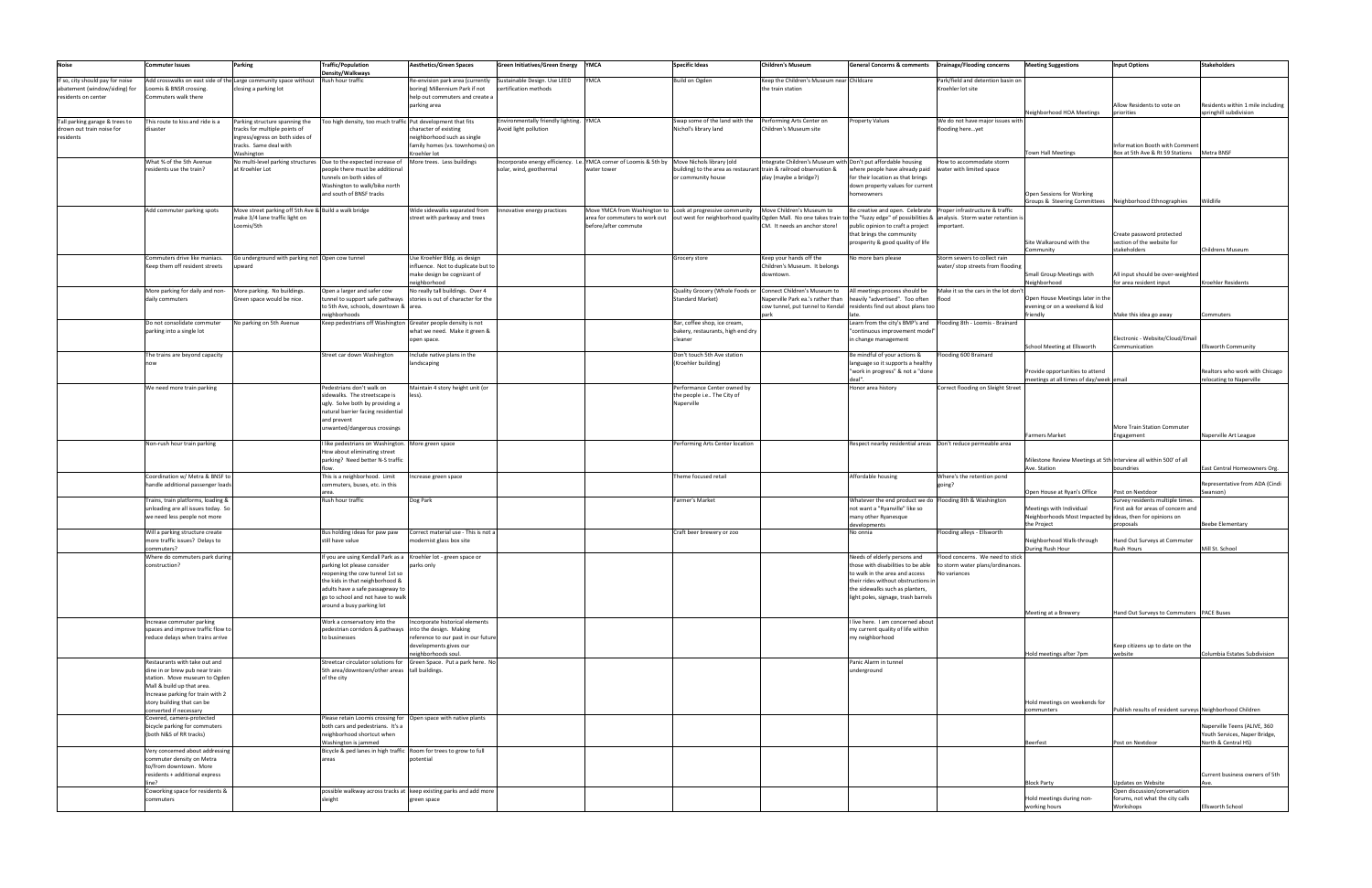| <b>Noise</b>                     | <b>Commuter Issues</b>                                                   | Parking                                                          | Traffic/Population                                                     | <b>Aesthetics/Green Spaces</b>                                      | <b>Green Initiatives/Green Energy</b>   | YMCA                                                                                         | <b>Specific Ideas</b>                                      | <b>Children's Museum</b>                                                                            | General Concerns & comments   Drainage/Flooding concerns                                   |                                                                        | <b>Meeting Suggestions</b>                                        | <b>Input Options</b>                                                  | <b>Stakeholders</b>                                         |
|----------------------------------|--------------------------------------------------------------------------|------------------------------------------------------------------|------------------------------------------------------------------------|---------------------------------------------------------------------|-----------------------------------------|----------------------------------------------------------------------------------------------|------------------------------------------------------------|-----------------------------------------------------------------------------------------------------|--------------------------------------------------------------------------------------------|------------------------------------------------------------------------|-------------------------------------------------------------------|-----------------------------------------------------------------------|-------------------------------------------------------------|
|                                  |                                                                          |                                                                  | Density/Walkways                                                       |                                                                     |                                         |                                                                                              |                                                            |                                                                                                     |                                                                                            |                                                                        |                                                                   |                                                                       |                                                             |
| If so, city should pay for noise |                                                                          | Add crosswalks on east side of the Large community space without | Rush hour traffic                                                      | Re-envision park area (currently                                    | Sustainable Design. Use LEED            | /MCA                                                                                         | <b>Build on Ogden</b>                                      | Keep the Children's Museum near Childcare                                                           |                                                                                            | Park/field and detention basin on                                      |                                                                   |                                                                       |                                                             |
| abatement (window/siding) for    | oomis & BNSR crossing.                                                   | closing a parking lot                                            |                                                                        | boring) Millennium Park if not                                      | certification methods                   |                                                                                              |                                                            | the train station                                                                                   |                                                                                            | Kroehler lot site                                                      |                                                                   |                                                                       |                                                             |
| residents on center              | Commuters walk there                                                     |                                                                  |                                                                        | help out commuters and create a                                     |                                         |                                                                                              |                                                            |                                                                                                     |                                                                                            |                                                                        |                                                                   |                                                                       |                                                             |
|                                  |                                                                          |                                                                  |                                                                        | parking area                                                        |                                         |                                                                                              |                                                            |                                                                                                     |                                                                                            |                                                                        | Neighborhood HOA Meetings                                         | Allow Residents to vote on<br>priorities                              | Residents within 1 mile including<br>springhill subdivision |
| Tall parking garage & trees to   | This route to kiss and ride is a                                         | Parking structure spanning the                                   | Too high density, too much traffic Put development that fits           |                                                                     | Environmentally friendly lighting. YMCA |                                                                                              | Swap some of the land with the                             | Performing Arts Center on                                                                           | roperty Values                                                                             | We do not have major issues with                                       |                                                                   |                                                                       |                                                             |
| drown out train noise for        | disaster                                                                 | tracks for multiple points of                                    |                                                                        | character of existing                                               | Avoid light pollution                   |                                                                                              | Nichol's library land                                      | Children's Museum site                                                                              |                                                                                            | flooding hereyet                                                       |                                                                   |                                                                       |                                                             |
| residents                        |                                                                          | ingress/egress on both sides of                                  |                                                                        | eighborhood such as single                                          |                                         |                                                                                              |                                                            |                                                                                                     |                                                                                            |                                                                        |                                                                   |                                                                       |                                                             |
|                                  |                                                                          | tracks. Same deal with                                           |                                                                        | family homes (vs. townhomes) on                                     |                                         |                                                                                              |                                                            |                                                                                                     |                                                                                            |                                                                        |                                                                   | Information Booth with Commen                                         |                                                             |
|                                  | What % of the 5th Avenue                                                 | Washington                                                       | No multi-level parking structures   Due to the expected increase of    | roehler lot<br>More trees. Less buildings                           |                                         | Incorporate energy efficiency. I.e. YMCA corner of Loomis & 5th by Move Nichols library (old |                                                            | ntegrate Children's Museum with Don't put affordable housing                                        |                                                                                            | low to accommodate storm                                               | <b>Town Hall Meetings</b>                                         | Box at 5th Ave & Rt 59 Stations                                       | Metra BNSF                                                  |
|                                  | residents use the train?                                                 | at Kroehler Lot                                                  | people there must be additional                                        |                                                                     | solar, wind, geothermal                 | water tower                                                                                  |                                                            | building) to the area as restaurant train & railroad observation &                                  | where people have already paid                                                             | water with limited space                                               |                                                                   |                                                                       |                                                             |
|                                  |                                                                          |                                                                  | unnels on both sides of                                                |                                                                     |                                         |                                                                                              | or community house                                         | play (maybe a bridge?)                                                                              | or their location as that brings                                                           |                                                                        |                                                                   |                                                                       |                                                             |
|                                  |                                                                          |                                                                  | Washington to walk/bike north                                          |                                                                     |                                         |                                                                                              |                                                            |                                                                                                     | lown property values for current                                                           |                                                                        |                                                                   |                                                                       |                                                             |
|                                  |                                                                          |                                                                  | and south of BNSF tracks                                               |                                                                     |                                         |                                                                                              |                                                            |                                                                                                     | nomeowners                                                                                 |                                                                        | Open Sessions for Working                                         |                                                                       |                                                             |
|                                  | Add commuter parking spots                                               | Move street parking off 5th Ave & Build a walk bridge            |                                                                        | Wide sidewalks separated from                                       | Innovative energy practices             |                                                                                              | Move YMCA from Washington to Look at progressive community | Move Children's Museum to                                                                           | Be creative and open. Celebrate Proper infrastructure & traffic                            |                                                                        | Groups & Steering Committees                                      | Neighborhood Ethnographies                                            | Wildlife                                                    |
|                                  |                                                                          | make 3/4 lane traffic light on                                   |                                                                        | street with parkway and trees                                       |                                         |                                                                                              |                                                            | area for commuters to work out lout west for neighborhood quality Ogden Mall. No one takes train to |                                                                                            | the "fuzzy edge" of possibilities & analysis. Storm water retention is |                                                                   |                                                                       |                                                             |
|                                  |                                                                          | Loomis/5th                                                       |                                                                        |                                                                     |                                         | before/after commute                                                                         |                                                            | CM. It needs an anchor store!                                                                       | ublic opinion to craft a project important.                                                |                                                                        |                                                                   |                                                                       |                                                             |
|                                  |                                                                          |                                                                  |                                                                        |                                                                     |                                         |                                                                                              |                                                            |                                                                                                     | hat brings the community                                                                   |                                                                        |                                                                   | reate password protected                                              |                                                             |
|                                  |                                                                          |                                                                  |                                                                        |                                                                     |                                         |                                                                                              |                                                            |                                                                                                     | prosperity & good quality of life                                                          |                                                                        | Site Walkaround with the                                          | ection of the website for<br>stakeholders                             |                                                             |
|                                  | Commuters drive like maniacs.                                            | Go underground with parking not Open cow tunnel                  |                                                                        | Use Kroehler Bldg. as design                                        |                                         |                                                                                              | Grocery store                                              | Keep your hands off the                                                                             | lo more bars please                                                                        | Storm sewers to collect rain                                           | Community                                                         |                                                                       | <b>Childrens Museum</b>                                     |
|                                  | Keep them off resident streets                                           | upward                                                           |                                                                        | influence. Not to duplicate but to                                  |                                         |                                                                                              |                                                            | Children's Museum. It belongs                                                                       |                                                                                            | water/ stop streets from flooding                                      |                                                                   |                                                                       |                                                             |
|                                  |                                                                          |                                                                  |                                                                        | make design be cognizant of                                         |                                         |                                                                                              |                                                            | downtown.                                                                                           |                                                                                            |                                                                        | Small Group Meetings with                                         | Il input should be over-weighted                                      |                                                             |
|                                  |                                                                          |                                                                  |                                                                        | heighborhood                                                        |                                         |                                                                                              |                                                            |                                                                                                     |                                                                                            |                                                                        | leighborhood                                                      | for area resident input                                               | Kroehler Residents                                          |
|                                  | More parking for daily and non-                                          | More parking. No buildings.                                      | Open a larger and safer cow                                            | No really tall buildings. Over 4                                    |                                         |                                                                                              | Quality Grocery (Whole Foods or                            | Connect Children's Museum to                                                                        | Il meetings process should be                                                              | Make it so the cars in the lot don't                                   |                                                                   |                                                                       |                                                             |
|                                  | daily commuters                                                          | Green space would be nice.                                       | unnel to support safe pathways<br>o 5th Ave, schools, downtown & area. | stories is out of character for the                                 |                                         |                                                                                              | Standard Market)                                           | Naperville Park ea.'s rather than<br>cow tunnel, put tunnel to Kendal                               | eavily "advertised". Too often<br>esidents find out about plans too                        |                                                                        | Open House Meetings later in the<br>evening or on a weekend & kid |                                                                       |                                                             |
|                                  |                                                                          |                                                                  | eighborhoods                                                           |                                                                     |                                         |                                                                                              |                                                            | park                                                                                                |                                                                                            |                                                                        | friendly                                                          | Make this idea go away                                                | Commuters                                                   |
|                                  | Do not consolidate commuter                                              | No parking on 5th Avenue                                         | Keep pedestrians off Washington                                        | Greater people density is not                                       |                                         |                                                                                              | Bar, coffee shop, ice cream,                               |                                                                                                     | Learn from the city's BMP's and                                                            | Flooding 8th - Loomis - Brainard                                       |                                                                   |                                                                       |                                                             |
|                                  | parking into a single lot                                                |                                                                  |                                                                        | what we need. Make it green &                                       |                                         |                                                                                              | bakery, restaurants, high end dry                          |                                                                                                     | "continuous improvement model"                                                             |                                                                        |                                                                   |                                                                       |                                                             |
|                                  |                                                                          |                                                                  |                                                                        | open space.                                                         |                                         |                                                                                              | leaner                                                     |                                                                                                     | n change management                                                                        |                                                                        |                                                                   | lectronic - Website/Cloud/Emai                                        |                                                             |
|                                  |                                                                          |                                                                  |                                                                        | Include native plans in the                                         |                                         |                                                                                              |                                                            |                                                                                                     |                                                                                            |                                                                        | School Meeting at Ellsworth                                       | ommunication                                                          | <b>Ilsworth Community</b>                                   |
|                                  | The trains are beyond capacity<br>now                                    |                                                                  | Street car down Washington                                             | landscaping                                                         |                                         |                                                                                              | Don't touch 5th Ave station<br>(Kroehler building)         |                                                                                                     | Be mindful of your actions &<br>anguage so it supports a healthy                           | Flooding 600 Brainard                                                  |                                                                   |                                                                       |                                                             |
|                                  |                                                                          |                                                                  |                                                                        |                                                                     |                                         |                                                                                              |                                                            |                                                                                                     | "work in progress" & not a "done                                                           |                                                                        | Provide opportunities to attend                                   |                                                                       | Realtors who work with Chicago                              |
|                                  |                                                                          |                                                                  |                                                                        |                                                                     |                                         |                                                                                              |                                                            |                                                                                                     | leal".                                                                                     |                                                                        | neetings at all times of day/week                                 | email                                                                 | relocating to Naperville                                    |
|                                  | We need more train parking                                               |                                                                  | edestrians don't walk on                                               | Aaintain 4 story height unit (or                                    |                                         |                                                                                              | Performance Center owned by                                |                                                                                                     | Honor area history                                                                         | Correct flooding on Sleight Street                                     |                                                                   |                                                                       |                                                             |
|                                  |                                                                          |                                                                  | sidewalks. The streetscape is                                          | ess).                                                               |                                         |                                                                                              | the people i.e The City of                                 |                                                                                                     |                                                                                            |                                                                        |                                                                   |                                                                       |                                                             |
|                                  |                                                                          |                                                                  | ugly. Solve both by providing a<br>natural barrier facing residential  |                                                                     |                                         |                                                                                              | Naperville                                                 |                                                                                                     |                                                                                            |                                                                        |                                                                   |                                                                       |                                                             |
|                                  |                                                                          |                                                                  | and prevent                                                            |                                                                     |                                         |                                                                                              |                                                            |                                                                                                     |                                                                                            |                                                                        |                                                                   |                                                                       |                                                             |
|                                  |                                                                          |                                                                  | unwanted/dangerous crossings                                           |                                                                     |                                         |                                                                                              |                                                            |                                                                                                     |                                                                                            |                                                                        |                                                                   | More Train Station Commuter                                           |                                                             |
|                                  |                                                                          |                                                                  |                                                                        |                                                                     |                                         |                                                                                              |                                                            |                                                                                                     |                                                                                            |                                                                        | <b>Farmers Market</b>                                             | ngagement                                                             | Naperville Art League                                       |
|                                  | Non-rush hour train parking                                              |                                                                  | like pedestrians on Washington.                                        | Aore green space                                                    |                                         |                                                                                              | Performing Arts Center location                            |                                                                                                     |                                                                                            |                                                                        |                                                                   |                                                                       |                                                             |
|                                  |                                                                          |                                                                  | How about eliminating street<br>parking? Need better N-S traffic       |                                                                     |                                         |                                                                                              |                                                            |                                                                                                     |                                                                                            |                                                                        | Milestone Review Meetings at 5th Interview all within 500' of all |                                                                       |                                                             |
|                                  |                                                                          |                                                                  |                                                                        |                                                                     |                                         |                                                                                              |                                                            |                                                                                                     |                                                                                            |                                                                        | Ave. Station                                                      | oundries                                                              | ast Central Homeowners Org.                                 |
|                                  | Coordination w/ Metra & BNSF to                                          |                                                                  | This is a neighborhood. Limit                                          | ncrease green space                                                 |                                         |                                                                                              | heme focused retail                                        |                                                                                                     | Affordable housing                                                                         | Where's the retention pond                                             |                                                                   |                                                                       |                                                             |
|                                  | handle additional passenger loads                                        |                                                                  | commuters, buses, etc. in this                                         |                                                                     |                                         |                                                                                              |                                                            |                                                                                                     |                                                                                            | going?                                                                 |                                                                   |                                                                       | Representative from ADA (Cindi                              |
|                                  |                                                                          |                                                                  | irea.                                                                  |                                                                     |                                         |                                                                                              |                                                            |                                                                                                     |                                                                                            |                                                                        | Open House at Ryan's Office                                       | ost on Nextdoor                                                       | swanson)                                                    |
|                                  | Trains, train platforms, loading &<br>unloading are all issues today. So |                                                                  | Rush hour traffic                                                      | Dog Park                                                            |                                         |                                                                                              | Farmer's Market                                            |                                                                                                     | Whatever the end product we do Flooding 8th & Washington<br>not want a "Ryanville" like so |                                                                        | Meetings with Individual                                          | Survey residents multiple times.<br>irst ask for areas of concern and |                                                             |
|                                  | we need less people not more                                             |                                                                  |                                                                        |                                                                     |                                         |                                                                                              |                                                            |                                                                                                     | many other Ryanesque                                                                       |                                                                        | Neighborhoods Most Impacted by ideas, then for opinions on        |                                                                       |                                                             |
|                                  |                                                                          |                                                                  |                                                                        |                                                                     |                                         |                                                                                              |                                                            |                                                                                                     | developments                                                                               |                                                                        | the Project                                                       | roposals                                                              | Beebe Elementary                                            |
|                                  | Will a parking structure create                                          |                                                                  | Bus holding ideas for paw paw                                          | Correct material use - This is not a                                |                                         |                                                                                              | Craft beer brewery or zoo                                  |                                                                                                     | No onnia                                                                                   | Flooding alleys - Ellsworth                                            |                                                                   |                                                                       |                                                             |
|                                  | more traffic issues? Delays to                                           |                                                                  | still have value                                                       | nodernist glass box site                                            |                                         |                                                                                              |                                                            |                                                                                                     |                                                                                            |                                                                        | Neighborhood Walk-through                                         | land Out Surveys at Commuter                                          |                                                             |
|                                  | commuters?<br>Where do commuters park during                             |                                                                  | If you are using Kendall Park as a Kroehler lot - green space or       |                                                                     |                                         |                                                                                              |                                                            |                                                                                                     | Needs of elderly persons and                                                               | Flood concerns. We need to stick                                       | During Rush Hour                                                  | Rush Hours                                                            | Mill St. School                                             |
|                                  | construction?                                                            |                                                                  | parking lot please consider                                            | parks only                                                          |                                         |                                                                                              |                                                            |                                                                                                     |                                                                                            | those with disabilities to be able to storm water plans/ordinances.    |                                                                   |                                                                       |                                                             |
|                                  |                                                                          |                                                                  | reopening the cow tunnel 1st so                                        |                                                                     |                                         |                                                                                              |                                                            |                                                                                                     | to walk in the area and access                                                             | No variances                                                           |                                                                   |                                                                       |                                                             |
|                                  |                                                                          |                                                                  | the kids in that neighborhood &                                        |                                                                     |                                         |                                                                                              |                                                            |                                                                                                     | their rides without obstructions ir                                                        |                                                                        |                                                                   |                                                                       |                                                             |
|                                  |                                                                          |                                                                  | adults have a safe passageway to                                       |                                                                     |                                         |                                                                                              |                                                            |                                                                                                     | the sidewalks such as planters,                                                            |                                                                        |                                                                   |                                                                       |                                                             |
|                                  |                                                                          |                                                                  | go to school and not have to walk<br>around a busy parking lot         |                                                                     |                                         |                                                                                              |                                                            |                                                                                                     | light poles, signage, trash barrels                                                        |                                                                        |                                                                   |                                                                       |                                                             |
|                                  |                                                                          |                                                                  |                                                                        |                                                                     |                                         |                                                                                              |                                                            |                                                                                                     |                                                                                            |                                                                        | Meeting at a Brewery                                              | Hand Out Surveys to Commuters PACE Buses                              |                                                             |
|                                  | Increase commuter parking                                                |                                                                  | Work a conservatory into the                                           | ncorporate historical elements                                      |                                         |                                                                                              |                                                            |                                                                                                     | live here. I am concerned about                                                            |                                                                        |                                                                   |                                                                       |                                                             |
|                                  | spaces and improve traffic flow to                                       |                                                                  | pedestrian corridors & pathways                                        | into the design. Making                                             |                                         |                                                                                              |                                                            |                                                                                                     | my current quality of life within                                                          |                                                                        |                                                                   |                                                                       |                                                             |
|                                  | reduce delays when trains arrive                                         |                                                                  | to businesses                                                          | reference to our past in our future                                 |                                         |                                                                                              |                                                            |                                                                                                     | ny neighborhood                                                                            |                                                                        |                                                                   |                                                                       |                                                             |
|                                  |                                                                          |                                                                  |                                                                        | developments gives our<br>neighborhoods soul.                       |                                         |                                                                                              |                                                            |                                                                                                     |                                                                                            |                                                                        | Hold meetings after 7pm                                           | Keep citizens up to date on the<br>website                            | Columbia Estates Subdivision                                |
|                                  | Restaurants with take out and                                            |                                                                  |                                                                        | Streetcar circulator solutions for Green Space. Put a park here. No |                                         |                                                                                              |                                                            |                                                                                                     | anic Alarm in tunnel                                                                       |                                                                        |                                                                   |                                                                       |                                                             |
|                                  | dine in or brew pub near train                                           |                                                                  | 5th area/downtown/other areas tall buildings.                          |                                                                     |                                         |                                                                                              |                                                            |                                                                                                     | underground                                                                                |                                                                        |                                                                   |                                                                       |                                                             |
|                                  | station. Move museum to Ogder                                            |                                                                  | of the city                                                            |                                                                     |                                         |                                                                                              |                                                            |                                                                                                     |                                                                                            |                                                                        |                                                                   |                                                                       |                                                             |
|                                  | Mall & build up that area.                                               |                                                                  |                                                                        |                                                                     |                                         |                                                                                              |                                                            |                                                                                                     |                                                                                            |                                                                        |                                                                   |                                                                       |                                                             |
|                                  | Increase parking for train with 2                                        |                                                                  |                                                                        |                                                                     |                                         |                                                                                              |                                                            |                                                                                                     |                                                                                            |                                                                        |                                                                   |                                                                       |                                                             |
|                                  | story building that can be<br>converted if necessary                     |                                                                  |                                                                        |                                                                     |                                         |                                                                                              |                                                            |                                                                                                     |                                                                                            |                                                                        | Hold meetings on weekends for<br>communters                       | Publish results of resident surveys Neighborhood Children             |                                                             |
|                                  | Covered, camera-protected                                                |                                                                  | Please retain Loomis crossing for                                      | Open space with native plants                                       |                                         |                                                                                              |                                                            |                                                                                                     |                                                                                            |                                                                        |                                                                   |                                                                       |                                                             |
|                                  | bicycle parking for commuters                                            |                                                                  | both cars and pedestrians. It's a                                      |                                                                     |                                         |                                                                                              |                                                            |                                                                                                     |                                                                                            |                                                                        |                                                                   |                                                                       | Naperville Teens (ALIVE, 360                                |
|                                  | (both N&S of RR tracks)                                                  |                                                                  | neighborhood shortcut when                                             |                                                                     |                                         |                                                                                              |                                                            |                                                                                                     |                                                                                            |                                                                        |                                                                   |                                                                       | Youth Services, Naper Bridge,                               |
|                                  |                                                                          |                                                                  | Washington is jammed                                                   |                                                                     |                                         |                                                                                              |                                                            |                                                                                                     |                                                                                            |                                                                        | <b>Beerfest</b>                                                   | Post on Nextdoor                                                      | North & Central HS)                                         |
|                                  | Very concerned about addressing<br>commuter density on Metra             |                                                                  | Bicycle & ped lanes in high traffic<br><b>areas</b>                    | Room for trees to grow to full<br>ootential                         |                                         |                                                                                              |                                                            |                                                                                                     |                                                                                            |                                                                        |                                                                   |                                                                       |                                                             |
|                                  | to/from downtown. More                                                   |                                                                  |                                                                        |                                                                     |                                         |                                                                                              |                                                            |                                                                                                     |                                                                                            |                                                                        |                                                                   |                                                                       |                                                             |
|                                  | residents + additional express                                           |                                                                  |                                                                        |                                                                     |                                         |                                                                                              |                                                            |                                                                                                     |                                                                                            |                                                                        |                                                                   |                                                                       | Current business owners of 5th                              |
|                                  | line?                                                                    |                                                                  |                                                                        |                                                                     |                                         |                                                                                              |                                                            |                                                                                                     |                                                                                            |                                                                        | <b>Block Party</b>                                                | pdates on Website                                                     |                                                             |
|                                  | Coworking space for residents &                                          |                                                                  |                                                                        | possible walkway across tracks at keep existing parks and add more  |                                         |                                                                                              |                                                            |                                                                                                     |                                                                                            |                                                                        |                                                                   | Open discussion/conversation                                          |                                                             |
|                                  | commuters                                                                |                                                                  | leight                                                                 | green space                                                         |                                         |                                                                                              |                                                            |                                                                                                     |                                                                                            |                                                                        | Hold meetings during non-<br>working hours                        | forums, not what the city calls<br>Workshops                          | Ellsworth School                                            |
|                                  |                                                                          |                                                                  |                                                                        |                                                                     |                                         |                                                                                              |                                                            |                                                                                                     |                                                                                            |                                                                        |                                                                   |                                                                       |                                                             |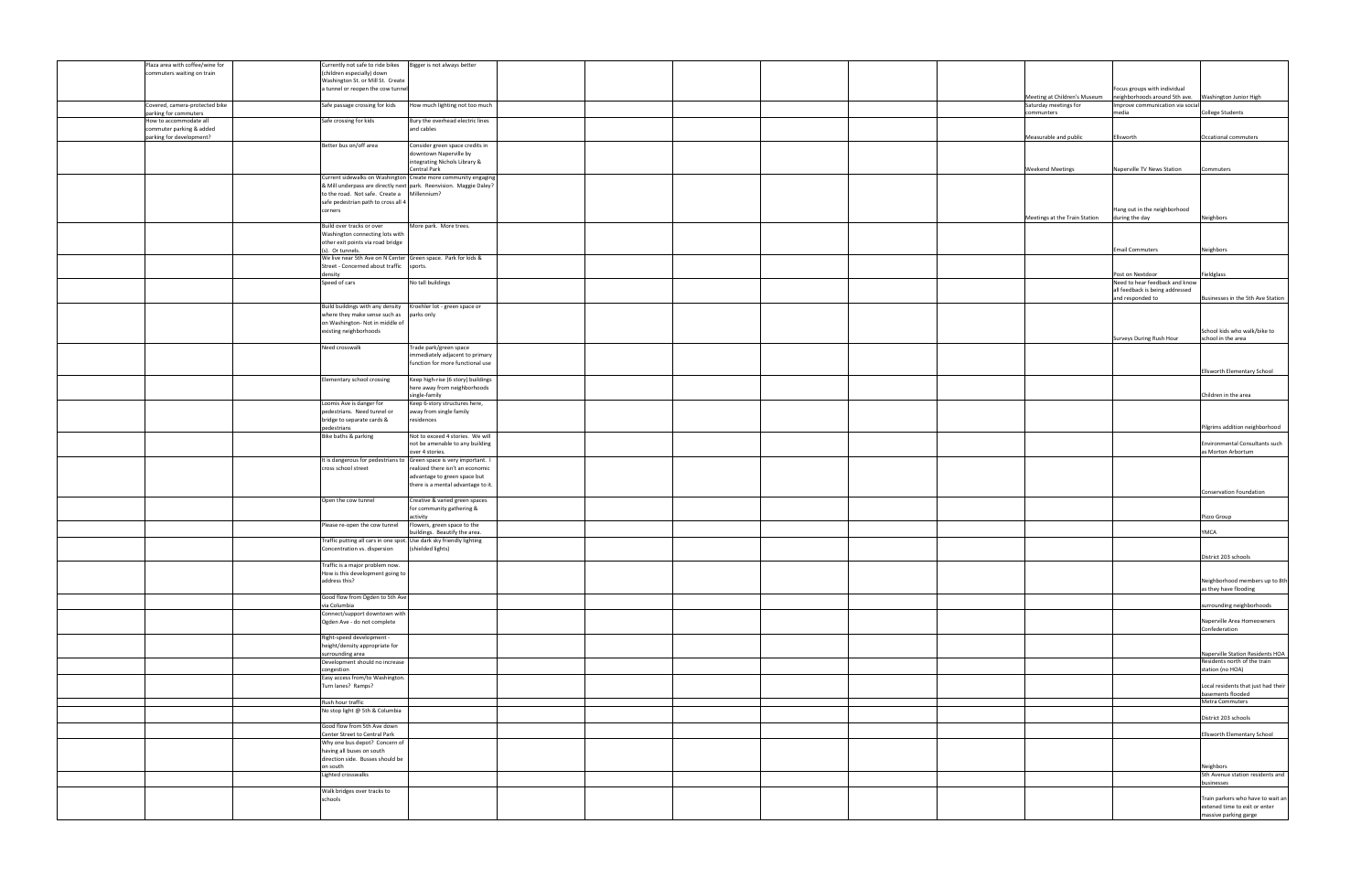| Plaza area with coffee/wine for | Currently not safe to ride bikes                                     | Bigger is not always better                                                       |  |  |                                                       |                                                                   |                                                        |
|---------------------------------|----------------------------------------------------------------------|-----------------------------------------------------------------------------------|--|--|-------------------------------------------------------|-------------------------------------------------------------------|--------------------------------------------------------|
| commuters waiting on train      | (children especially) down                                           |                                                                                   |  |  |                                                       |                                                                   |                                                        |
|                                 | Washington St. or Mill St. Create                                    |                                                                                   |  |  |                                                       |                                                                   |                                                        |
|                                 | a tunnel or reopen the cow tunnel                                    |                                                                                   |  |  |                                                       | Focus groups with individual<br>neighborhoods around 5th ave.     |                                                        |
| Covered, camera-protected bike  | Safe passage crossing for kids                                       | How much lighting not too much                                                    |  |  | Meeting at Children's Museum<br>Saturday meetings for | mprove communication via social                                   | Washington Junior High                                 |
| parking for commuters           |                                                                      |                                                                                   |  |  | communters                                            | media                                                             | College Students                                       |
| How to accommodate all          | Safe crossing for kids                                               | Bury the overhead electric lines                                                  |  |  |                                                       |                                                                   |                                                        |
| commuter parking & added        |                                                                      | and cables                                                                        |  |  |                                                       |                                                                   |                                                        |
| parking for development?        | Better bus on/off area                                               | Consider green space credits in                                                   |  |  | Measurable and public                                 | Ellsworth                                                         | Occational commuters                                   |
|                                 |                                                                      | downtown Naperville by                                                            |  |  |                                                       |                                                                   |                                                        |
|                                 |                                                                      | integrating Nichols Library &                                                     |  |  |                                                       |                                                                   |                                                        |
|                                 |                                                                      | Central Park                                                                      |  |  | <b>Weekend Meetings</b>                               | Naperville TV News Station                                        | Commuters                                              |
|                                 |                                                                      | Current sidewalks on Washington Create more community engaging                    |  |  |                                                       |                                                                   |                                                        |
|                                 | to the road. Not safe. Create a                                      | & Mill underpass are directly next park. Reenvision. Maggie Daley?<br>Millennium? |  |  |                                                       |                                                                   |                                                        |
|                                 | safe pedestrian path to cross all 4                                  |                                                                                   |  |  |                                                       |                                                                   |                                                        |
|                                 | corners                                                              |                                                                                   |  |  |                                                       | Hang out in the neighborhood                                      |                                                        |
|                                 |                                                                      |                                                                                   |  |  | Meetings at the Train Station                         | during the day                                                    | Neighbors                                              |
|                                 | Build over tracks or over                                            | More park. More trees.                                                            |  |  |                                                       |                                                                   |                                                        |
|                                 | Washington connecting lots with<br>other exit points via road bridge |                                                                                   |  |  |                                                       |                                                                   |                                                        |
|                                 | s). Or tunnels.                                                      |                                                                                   |  |  |                                                       | <b>Email Commuters</b>                                            | Neighbors                                              |
|                                 | We live near 5th Ave on N Center Green space. Park for kids &        |                                                                                   |  |  |                                                       |                                                                   |                                                        |
|                                 | Street - Concerned about traffic                                     | sports.                                                                           |  |  |                                                       |                                                                   |                                                        |
|                                 | lensity                                                              |                                                                                   |  |  |                                                       | Post on Nextdoor                                                  | Fieldglass                                             |
|                                 | Speed of cars                                                        | No tall buildings                                                                 |  |  |                                                       | Need to hear feedback and know<br>all feedback is being addressed |                                                        |
|                                 |                                                                      |                                                                                   |  |  |                                                       | and responded to                                                  | Businesses in the 5th Ave Station                      |
|                                 | Build buildings with any density                                     | Kroehler lot - green space or                                                     |  |  |                                                       |                                                                   |                                                        |
|                                 | where they make sense such as                                        | parks only                                                                        |  |  |                                                       |                                                                   |                                                        |
|                                 | on Washington- Not in middle of                                      |                                                                                   |  |  |                                                       |                                                                   |                                                        |
|                                 | existing neighborhoods                                               |                                                                                   |  |  |                                                       | Surveys During Rush Hour                                          | School kids who walk/bike to<br>school in the area     |
|                                 | Need crosswalk                                                       | Trade park/green space                                                            |  |  |                                                       |                                                                   |                                                        |
|                                 |                                                                      | immediately adjacent to primary                                                   |  |  |                                                       |                                                                   |                                                        |
|                                 |                                                                      | function for more functional use                                                  |  |  |                                                       |                                                                   |                                                        |
|                                 |                                                                      |                                                                                   |  |  |                                                       |                                                                   | Ilsworth Elementary School                             |
|                                 | Elementary school crossing                                           | Keep high-rise (6 story) buildings<br>here away from neighborhoods                |  |  |                                                       |                                                                   |                                                        |
|                                 |                                                                      | single-family                                                                     |  |  |                                                       |                                                                   | Children in the area                                   |
|                                 | Loomis Ave is danger for                                             | Keep 6-story structures here,                                                     |  |  |                                                       |                                                                   |                                                        |
|                                 | pedestrians. Need tunnel or                                          | away from single family                                                           |  |  |                                                       |                                                                   |                                                        |
|                                 | bridge to separate cards &                                           | residences                                                                        |  |  |                                                       |                                                                   |                                                        |
|                                 | oedestrians<br>Bike baths & parking                                  |                                                                                   |  |  |                                                       |                                                                   | Pilgrims addition neighborhood                         |
|                                 |                                                                      | Not to exceed 4 stories. We will<br>not be amenable to any building               |  |  |                                                       |                                                                   | <b>Environmental Consultants such</b>                  |
|                                 |                                                                      | over 4 stories.                                                                   |  |  |                                                       |                                                                   | as Morton Arbortum                                     |
|                                 | It is dangerous for pedestrians to Green space is very important. I  |                                                                                   |  |  |                                                       |                                                                   |                                                        |
|                                 | cross school street                                                  | realized there isn't an economic                                                  |  |  |                                                       |                                                                   |                                                        |
|                                 |                                                                      | advantage to green space but<br>there is a mental advantage to it.                |  |  |                                                       |                                                                   |                                                        |
|                                 |                                                                      |                                                                                   |  |  |                                                       |                                                                   | Conservation Foundation                                |
|                                 | Open the cow tunnel                                                  | Creative & varied green spaces                                                    |  |  |                                                       |                                                                   |                                                        |
|                                 |                                                                      | for community gathering &                                                         |  |  |                                                       |                                                                   |                                                        |
|                                 |                                                                      | activity                                                                          |  |  |                                                       |                                                                   | Pizzo Group                                            |
|                                 | Please re-open the cow tunnel                                        | Flowers, green space to the<br>buildings. Beautify the area.                      |  |  |                                                       |                                                                   | YMCA                                                   |
|                                 | Traffic putting all cars in one spot. Use dark sky friendly lighting |                                                                                   |  |  |                                                       |                                                                   |                                                        |
|                                 | Concentration vs. dispersion                                         | (shielded lights)                                                                 |  |  |                                                       |                                                                   |                                                        |
|                                 |                                                                      |                                                                                   |  |  |                                                       |                                                                   | District 203 schools                                   |
|                                 | Traffic is a major problem now.                                      |                                                                                   |  |  |                                                       |                                                                   |                                                        |
|                                 | How is this development going to<br>address this?                    |                                                                                   |  |  |                                                       |                                                                   | Neighborhood members up to 8th                         |
|                                 |                                                                      |                                                                                   |  |  |                                                       |                                                                   | as they have flooding                                  |
|                                 | Good flow from Ogden to 5th Ave                                      |                                                                                   |  |  |                                                       |                                                                   |                                                        |
|                                 | via Columbia                                                         |                                                                                   |  |  |                                                       |                                                                   | surrounding neighborhoods                              |
|                                 | Connect/support downtown with                                        |                                                                                   |  |  |                                                       |                                                                   |                                                        |
|                                 | Ogden Ave - do not complete                                          |                                                                                   |  |  |                                                       |                                                                   | Naperville Area Homeowners<br>Confederation            |
|                                 | Right-speed development -                                            |                                                                                   |  |  |                                                       |                                                                   |                                                        |
|                                 | height/density appropriate for                                       |                                                                                   |  |  |                                                       |                                                                   |                                                        |
|                                 | surrounding area                                                     |                                                                                   |  |  |                                                       |                                                                   | Naperville Station Residents HOA                       |
|                                 | Development should no increase                                       |                                                                                   |  |  |                                                       |                                                                   | Residents north of the train                           |
|                                 | congestion<br>Easy access from/to Washington.                        |                                                                                   |  |  |                                                       |                                                                   | station (no HOA)                                       |
|                                 | Turn lanes? Ramps?                                                   |                                                                                   |  |  |                                                       |                                                                   | Local residents that just had their                    |
|                                 |                                                                      |                                                                                   |  |  |                                                       |                                                                   | basements flooded                                      |
|                                 | Rush hour traffic                                                    |                                                                                   |  |  |                                                       |                                                                   | Metra Commuters                                        |
|                                 | No stop light @ 5th & Columbia                                       |                                                                                   |  |  |                                                       |                                                                   |                                                        |
|                                 | Good flow from 5th Ave down                                          |                                                                                   |  |  |                                                       |                                                                   | District 203 schools                                   |
|                                 | Center Street to Central Park                                        |                                                                                   |  |  |                                                       |                                                                   | Ilsworth Elementary School                             |
|                                 | Why one bus depot? Concern of                                        |                                                                                   |  |  |                                                       |                                                                   |                                                        |
|                                 | having all buses on south                                            |                                                                                   |  |  |                                                       |                                                                   |                                                        |
|                                 | direction side. Busses should be                                     |                                                                                   |  |  |                                                       |                                                                   |                                                        |
|                                 | n south<br>Lighted crosswalks                                        |                                                                                   |  |  |                                                       |                                                                   | Neighbors<br>5th Avenue station residents and          |
|                                 |                                                                      |                                                                                   |  |  |                                                       |                                                                   | businesses                                             |
|                                 | Walk bridges over tracks to                                          |                                                                                   |  |  |                                                       |                                                                   |                                                        |
|                                 | schools                                                              |                                                                                   |  |  |                                                       |                                                                   | Train parkers who have to wait an                      |
|                                 |                                                                      |                                                                                   |  |  |                                                       |                                                                   | extened time to exit or enter<br>massive parking garge |
|                                 |                                                                      |                                                                                   |  |  |                                                       |                                                                   |                                                        |